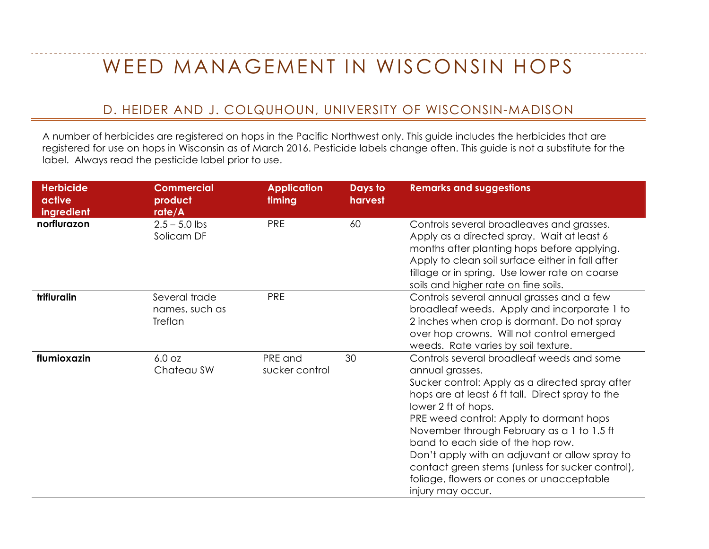## WEED MANAGEMENT IN WISCONSIN HOPS

## D. HEIDER AND J. COLQUHOUN, UNIVERSITY OF WISCONSIN-MADISON

A number of herbicides are registered on hops in the Pacific Northwest only. This guide includes the herbicides that are registered for use on hops in Wisconsin as of March 2016. Pesticide labels change often. This guide is not a substitute for the label. Always read the pesticide label prior to use.

| <b>Herbicide</b><br>active<br>ingredient | <b>Commercial</b><br>product<br>rate/A     | <b>Application</b><br>timing | Days to<br>harvest | <b>Remarks and suggestions</b>                                                                                                                                                                                                                                                                                                                                                                                                                                                                   |
|------------------------------------------|--------------------------------------------|------------------------------|--------------------|--------------------------------------------------------------------------------------------------------------------------------------------------------------------------------------------------------------------------------------------------------------------------------------------------------------------------------------------------------------------------------------------------------------------------------------------------------------------------------------------------|
| norflurazon                              | $2.5 - 5.0$ lbs<br>Solicam DF              | <b>PRE</b>                   | 60                 | Controls several broadleaves and grasses.<br>Apply as a directed spray. Wait at least 6<br>months after planting hops before applying.<br>Apply to clean soil surface either in fall after<br>tillage or in spring. Use lower rate on coarse<br>soils and higher rate on fine soils.                                                                                                                                                                                                             |
| trifluralin                              | Several trade<br>names, such as<br>Treflan | <b>PRE</b>                   |                    | Controls several annual grasses and a few<br>broadleaf weeds. Apply and incorporate 1 to<br>2 inches when crop is dormant. Do not spray<br>over hop crowns. Will not control emerged<br>weeds. Rate varies by soil texture.                                                                                                                                                                                                                                                                      |
| flumioxazin                              | 6.0 oz<br>Chateau SW                       | PRE and<br>sucker control    | 30                 | Controls several broadleaf weeds and some<br>annual grasses.<br>Sucker control: Apply as a directed spray after<br>hops are at least 6 ft tall. Direct spray to the<br>lower 2 ft of hops.<br>PRE weed control: Apply to dormant hops<br>November through February as a 1 to 1.5 ft<br>band to each side of the hop row.<br>Don't apply with an adjuvant or allow spray to<br>contact green stems (unless for sucker control),<br>foliage, flowers or cones or unacceptable<br>injury may occur. |